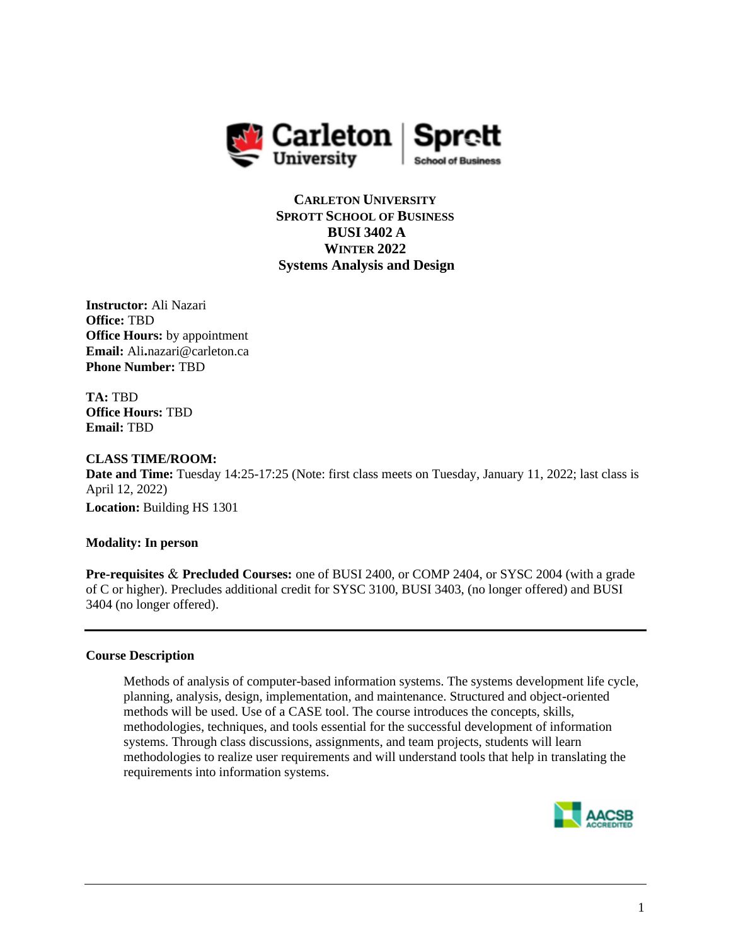

**CARLETON UNIVERSITY SPROTT SCHOOL OF BUSINESS BUSI 3402 A WINTER 2022 Systems Analysis and Design**

**Instructor:** Ali Nazari **Office:** TBD **Office Hours:** by appointment **Email:** Ali**.**nazari@carleton.ca **Phone Number:** TBD

**TA:** TBD **Office Hours:** TBD **Email:** TBD

## **CLASS TIME/ROOM:**

**Date and Time:** Tuesday 14:25-17:25 (Note: first class meets on Tuesday, January 11, 2022; last class is April 12, 2022)

**Location:** Building HS 1301

## **Modality: In person**

**Pre-requisites** & **Precluded Courses:** one of [BUSI](https://calendar.carleton.ca/search/?P=BUSI%202400) 2400, or [COMP](https://calendar.carleton.ca/search/?P=COMP%202404) 2404, or [SYSC](https://calendar.carleton.ca/search/?P=SYSC%202004) 2004 (with a grade of C or higher). Precludes additional credit for SYSC 3100, BUSI 3403, (no longer offered) and BUSI 3404 (no longer offered).

## **Course Description**

Methods of analysis of computer-based information systems. The systems development life cycle, planning, analysis, design, implementation, and maintenance. Structured and object-oriented methods will be used. Use of a CASE tool. The course introduces the concepts, skills, methodologies, techniques, and tools essential for the successful development of information systems. Through class discussions, assignments, and team projects, students will learn methodologies to realize user requirements and will understand tools that help in translating the requirements into information systems.

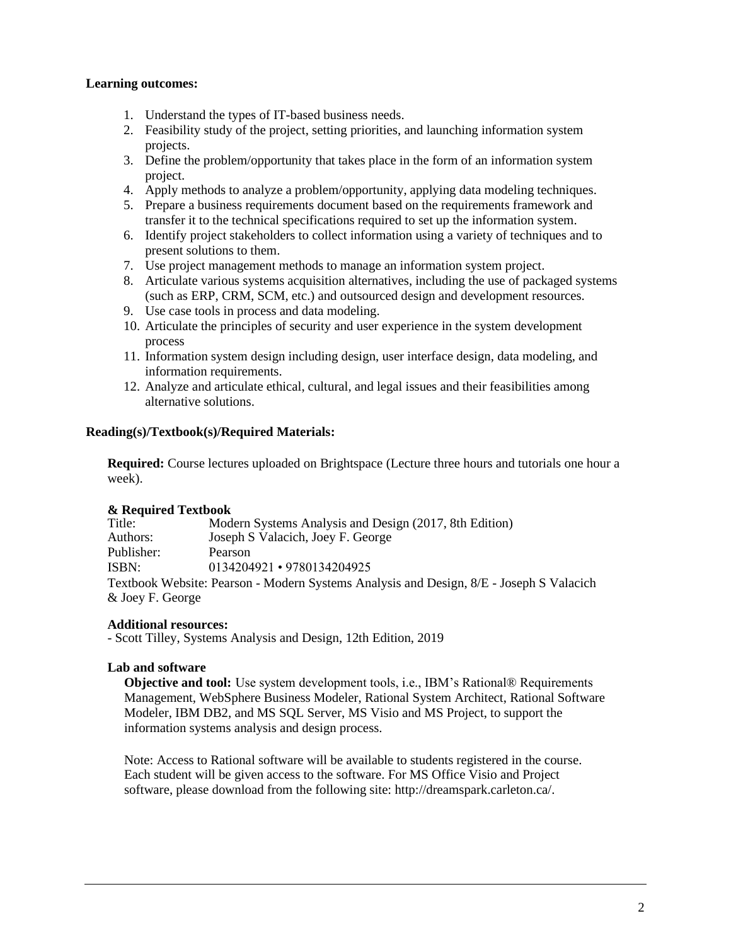## **Learning outcomes:**

- 1. Understand the types of IT-based business needs.
- 2. Feasibility study of the project, setting priorities, and launching information system projects.
- 3. Define the problem/opportunity that takes place in the form of an information system project.
- 4. Apply methods to analyze a problem/opportunity, applying data modeling techniques.
- 5. Prepare a business requirements document based on the requirements framework and transfer it to the technical specifications required to set up the information system.
- 6. Identify project stakeholders to collect information using a variety of techniques and to present solutions to them.
- 7. Use project management methods to manage an information system project.
- 8. Articulate various systems acquisition alternatives, including the use of packaged systems (such as ERP, CRM, SCM, etc.) and outsourced design and development resources.
- 9. Use case tools in process and data modeling.
- 10. Articulate the principles of security and user experience in the system development process
- 11. Information system design including design, user interface design, data modeling, and information requirements.
- 12. Analyze and articulate ethical, cultural, and legal issues and their feasibilities among alternative solutions.

## **Reading(s)/Textbook(s)/Required Materials:**

**Required:** Course lectures uploaded on Brightspace (Lecture three hours and tutorials one hour a week).

## **& Required Textbook**

| Title:           | Modern Systems Analysis and Design (2017, 8th Edition)                                  |
|------------------|-----------------------------------------------------------------------------------------|
| Authors:         | Joseph S Valacich, Joey F. George                                                       |
| Publisher:       | Pearson                                                                                 |
| ISBN:            | $0134204921 \cdot 9780134204925$                                                        |
|                  | Textbook Website: Pearson - Modern Systems Analysis and Design, 8/E - Joseph S Valacich |
| & Joey F. George |                                                                                         |
|                  |                                                                                         |

## **Additional resources:**

- Scott Tilley, Systems Analysis and Design, 12th Edition, 2019

## **Lab and software**

**Objective and tool:** Use system development tools, i.e., IBM's Rational® Requirements Management, WebSphere Business Modeler, Rational System Architect, Rational Software Modeler, IBM DB2, and MS SQL Server, MS Visio and MS Project, to support the information systems analysis and design process.

Note: Access to Rational software will be available to students registered in the course. Each student will be given access to the software. For MS Office Visio and Project software, please download from the following site: http://dreamspark.carleton.ca/.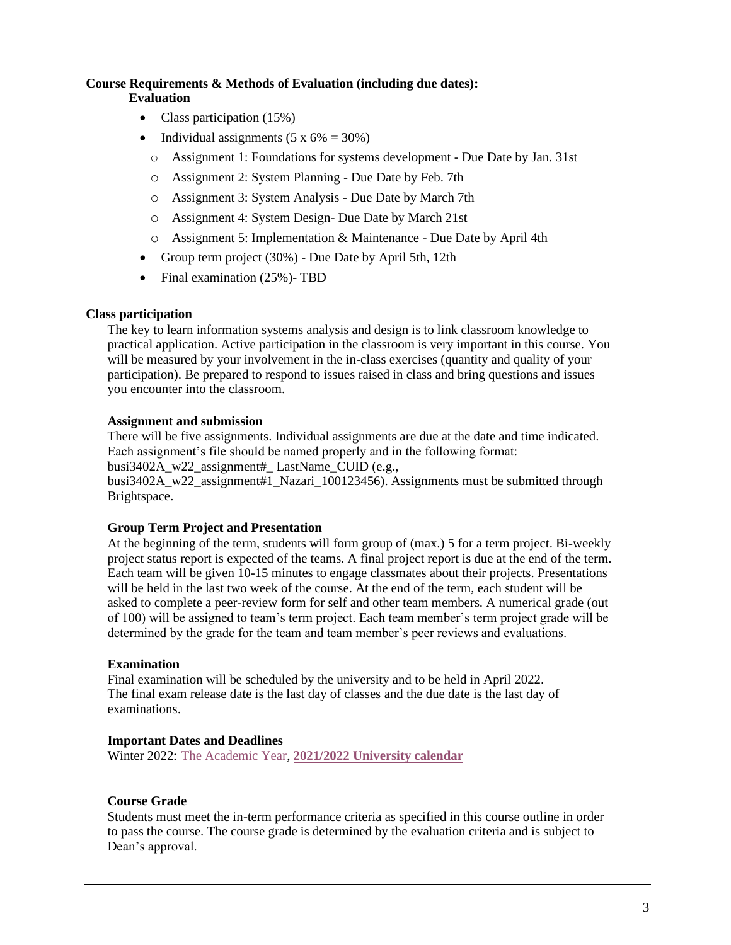#### **Course Requirements & Methods of Evaluation (including due dates): Evaluation**

- Class participation (15%)
- Individual assignments  $(5 \times 6\% = 30\%)$ 
	- o Assignment 1: Foundations for systems development Due Date by Jan. 31st
	- o Assignment 2: System Planning Due Date by Feb. 7th
	- o Assignment 3: System Analysis Due Date by March 7th
	- o Assignment 4: System Design- Due Date by March 21st
	- o Assignment 5: Implementation & Maintenance Due Date by April 4th
- Group term project (30%) Due Date by April 5th, 12th
- Final examination (25%)- TBD

## **Class participation**

The key to learn information systems analysis and design is to link classroom knowledge to practical application. Active participation in the classroom is very important in this course. You will be measured by your involvement in the in-class exercises (quantity and quality of your participation). Be prepared to respond to issues raised in class and bring questions and issues you encounter into the classroom.

## **Assignment and submission**

There will be five assignments. Individual assignments are due at the date and time indicated. Each assignment's file should be named properly and in the following format: busi3402A\_w22\_assignment#\_ LastName\_CUID (e.g.,

busi3402A\_w22\_assignment#1\_Nazari\_100123456). Assignments must be submitted through Brightspace.

## **Group Term Project and Presentation**

At the beginning of the term, students will form group of (max.) 5 for a term project. Bi-weekly project status report is expected of the teams. A final project report is due at the end of the term. Each team will be given 10-15 minutes to engage classmates about their projects. Presentations will be held in the last two week of the course. At the end of the term, each student will be asked to complete a peer-review form for self and other team members. A numerical grade (out of 100) will be assigned to team's term project. Each team member's term project grade will be determined by the grade for the team and team member's peer reviews and evaluations.

## **Examination**

Final examination will be scheduled by the university and to be held in April 2022. The final exam release date is the last day of classes and the due date is the last day of examinations.

## **Important Dates and Deadlines**

Winter 2022: [The Academic Year,](https://calendar.carleton.ca/academicyear/) **[2021/2022 University calendar](https://calendar.carleton.ca/undergrad/)**

## **Course Grade**

Students must meet the in-term performance criteria as specified in this course outline in order to pass the course. The course grade is determined by the evaluation criteria and is subject to Dean's approval.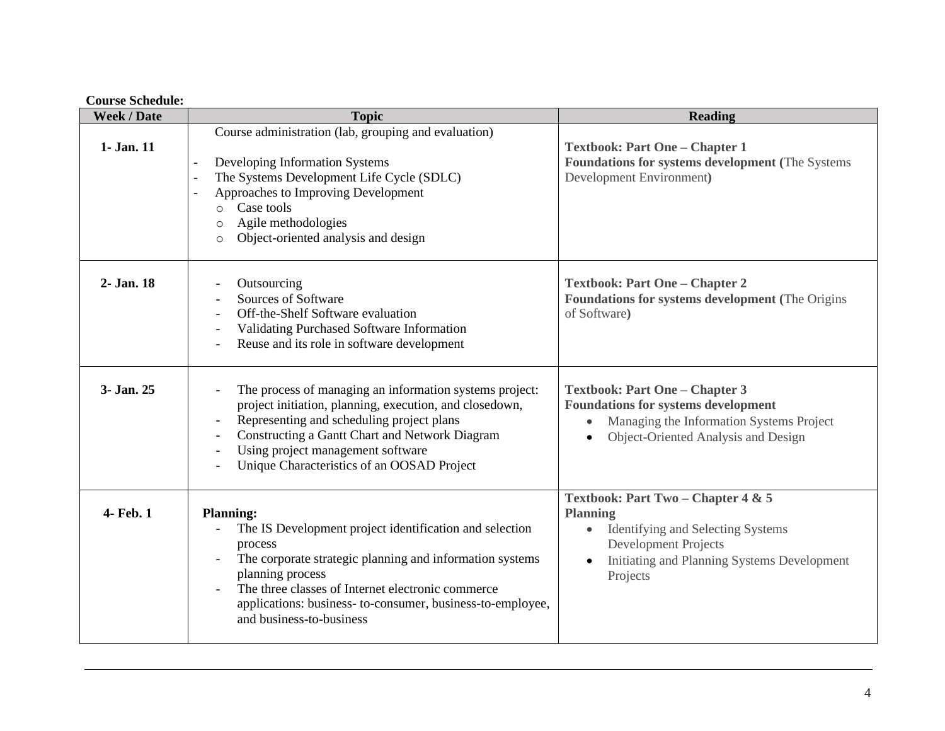## **Course Schedule:**

| <b>Week / Date</b> | <b>Topic</b>                                                                                                                                                                                                                                                                                                         | <b>Reading</b>                                                                                                                                                                       |
|--------------------|----------------------------------------------------------------------------------------------------------------------------------------------------------------------------------------------------------------------------------------------------------------------------------------------------------------------|--------------------------------------------------------------------------------------------------------------------------------------------------------------------------------------|
| 1- Jan. 11         | Course administration (lab, grouping and evaluation)<br>Developing Information Systems<br>The Systems Development Life Cycle (SDLC)<br>Approaches to Improving Development<br>Case tools<br>$\circ$<br>Agile methodologies<br>$\circ$<br>Object-oriented analysis and design<br>$\circ$                              | <b>Textbook: Part One - Chapter 1</b><br>Foundations for systems development (The Systems<br>Development Environment)                                                                |
| 2- Jan. 18         | Outsourcing<br>Sources of Software<br>Off-the-Shelf Software evaluation<br>Validating Purchased Software Information<br>Reuse and its role in software development                                                                                                                                                   | <b>Textbook: Part One - Chapter 2</b><br><b>Foundations for systems development (The Origins</b><br>of Software)                                                                     |
| 3- Jan. 25         | The process of managing an information systems project:<br>project initiation, planning, execution, and closedown,<br>Representing and scheduling project plans<br>Constructing a Gantt Chart and Network Diagram<br>Using project management software<br>Unique Characteristics of an OOSAD Project                 | <b>Textbook: Part One - Chapter 3</b><br><b>Foundations for systems development</b><br>Managing the Information Systems Project<br>Object-Oriented Analysis and Design               |
| 4- Feb. 1          | <b>Planning:</b><br>The IS Development project identification and selection<br>process<br>The corporate strategic planning and information systems<br>planning process<br>The three classes of Internet electronic commerce<br>applications: business-to-consumer, business-to-employee,<br>and business-to-business | Textbook: Part Two - Chapter 4 & 5<br><b>Planning</b><br>Identifying and Selecting Systems<br><b>Development Projects</b><br>Initiating and Planning Systems Development<br>Projects |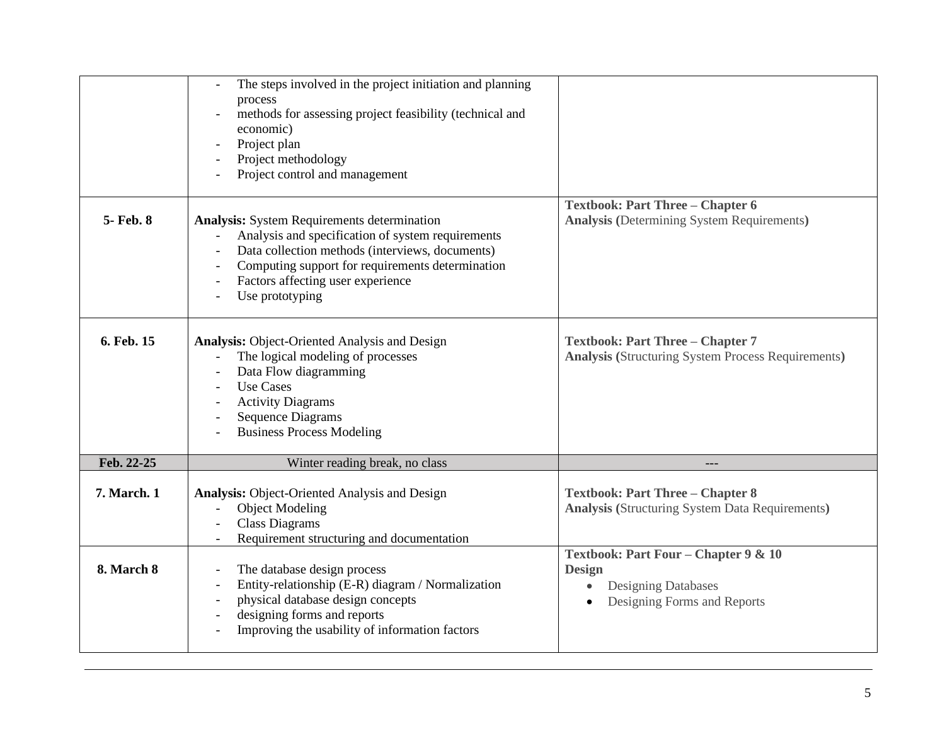|             | The steps involved in the project initiation and planning<br>process<br>methods for assessing project feasibility (technical and<br>economic)<br>Project plan<br>Project methodology<br>Project control and management                                                 |                                                                                                                    |
|-------------|------------------------------------------------------------------------------------------------------------------------------------------------------------------------------------------------------------------------------------------------------------------------|--------------------------------------------------------------------------------------------------------------------|
| 5- Feb. 8   | <b>Analysis:</b> System Requirements determination<br>Analysis and specification of system requirements<br>Data collection methods (interviews, documents)<br>Computing support for requirements determination<br>Factors affecting user experience<br>Use prototyping | <b>Textbook: Part Three - Chapter 6</b><br><b>Analysis (Determining System Requirements)</b>                       |
| 6. Feb. 15  | <b>Analysis: Object-Oriented Analysis and Design</b><br>The logical modeling of processes<br>Data Flow diagramming<br><b>Use Cases</b><br><b>Activity Diagrams</b><br><b>Sequence Diagrams</b><br><b>Business Process Modeling</b>                                     | <b>Textbook: Part Three - Chapter 7</b><br><b>Analysis (Structuring System Process Requirements)</b>               |
| Feb. 22-25  | Winter reading break, no class                                                                                                                                                                                                                                         | ---                                                                                                                |
| 7. March. 1 | <b>Analysis: Object-Oriented Analysis and Design</b><br><b>Object Modeling</b><br><b>Class Diagrams</b><br>Requirement structuring and documentation                                                                                                                   | <b>Textbook: Part Three - Chapter 8</b><br><b>Analysis (Structuring System Data Requirements)</b>                  |
| 8. March 8  | The database design process<br>Entity-relationship (E-R) diagram / Normalization<br>physical database design concepts<br>designing forms and reports<br>Improving the usability of information factors                                                                 | Textbook: Part Four - Chapter 9 & 10<br><b>Design</b><br><b>Designing Databases</b><br>Designing Forms and Reports |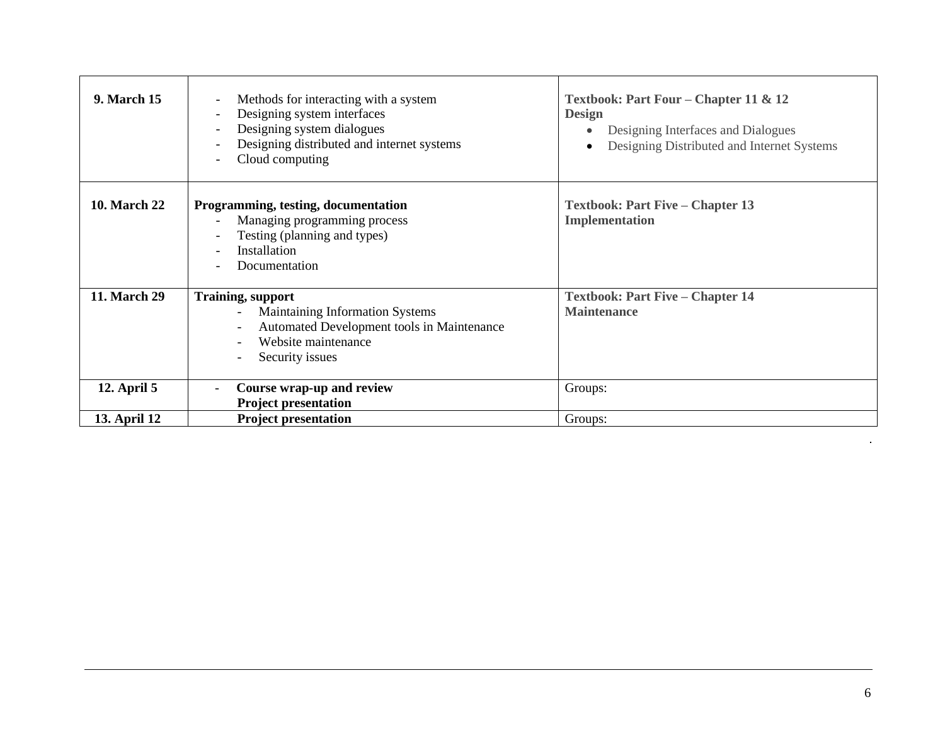| <b>9. March 15</b>  | Methods for interacting with a system<br>$\overline{\phantom{a}}$<br>Designing system interfaces<br>$\overline{\phantom{a}}$<br>Designing system dialogues<br>Designing distributed and internet systems<br>Cloud computing | Textbook: Part Four – Chapter 11 & 12<br><b>Design</b><br>Designing Interfaces and Dialogues<br>$\bullet$<br>Designing Distributed and Internet Systems<br>$\bullet$ |
|---------------------|-----------------------------------------------------------------------------------------------------------------------------------------------------------------------------------------------------------------------------|----------------------------------------------------------------------------------------------------------------------------------------------------------------------|
| <b>10. March 22</b> | Programming, testing, documentation<br>Managing programming process<br>Testing (planning and types)<br>Installation<br>Documentation                                                                                        | <b>Textbook: Part Five – Chapter 13</b><br>Implementation                                                                                                            |
| 11. March 29        | <b>Training, support</b>                                                                                                                                                                                                    | <b>Textbook: Part Five - Chapter 14</b>                                                                                                                              |
|                     | Maintaining Information Systems                                                                                                                                                                                             | <b>Maintenance</b>                                                                                                                                                   |
|                     | Automated Development tools in Maintenance<br>Website maintenance                                                                                                                                                           |                                                                                                                                                                      |
|                     | Security issues                                                                                                                                                                                                             |                                                                                                                                                                      |
|                     |                                                                                                                                                                                                                             |                                                                                                                                                                      |
| <b>12. April 5</b>  | Course wrap-up and review<br>$\overline{\phantom{a}}$                                                                                                                                                                       | Groups:                                                                                                                                                              |
|                     | <b>Project presentation</b>                                                                                                                                                                                                 |                                                                                                                                                                      |
| 13. April 12        | <b>Project presentation</b>                                                                                                                                                                                                 | Groups:                                                                                                                                                              |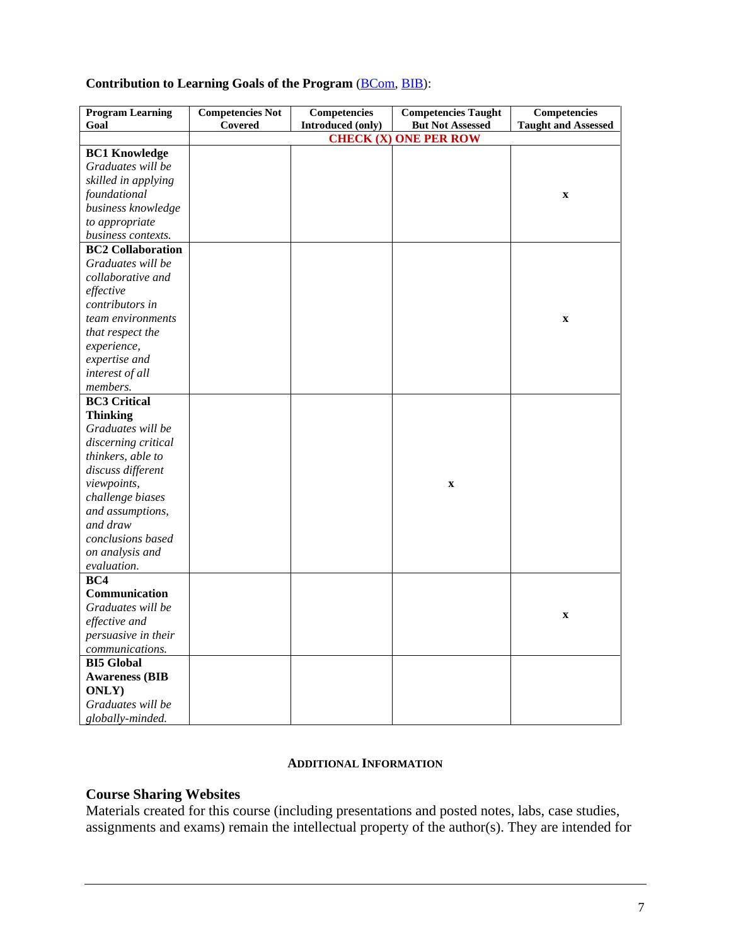# Contribution to Learning Goals of the Program (**BCom**, **BIB**):

| <b>Program Learning</b>  | <b>Competencies Not</b> | Competencies      | <b>Competencies Taught</b>   | Competencies               |
|--------------------------|-------------------------|-------------------|------------------------------|----------------------------|
| Goal                     | Covered                 | Introduced (only) | <b>But Not Assessed</b>      | <b>Taught and Assessed</b> |
|                          |                         |                   | <b>CHECK (X) ONE PER ROW</b> |                            |
| <b>BC1 Knowledge</b>     |                         |                   |                              |                            |
| Graduates will be        |                         |                   |                              |                            |
| skilled in applying      |                         |                   |                              |                            |
| foundational             |                         |                   |                              | $\mathbf X$                |
| business knowledge       |                         |                   |                              |                            |
| to appropriate           |                         |                   |                              |                            |
| business contexts.       |                         |                   |                              |                            |
| <b>BC2 Collaboration</b> |                         |                   |                              |                            |
| Graduates will be        |                         |                   |                              |                            |
| collaborative and        |                         |                   |                              |                            |
| effective                |                         |                   |                              |                            |
| contributors in          |                         |                   |                              |                            |
| team environments        |                         |                   |                              | $\mathbf X$                |
| that respect the         |                         |                   |                              |                            |
| experience,              |                         |                   |                              |                            |
| expertise and            |                         |                   |                              |                            |
| interest of all          |                         |                   |                              |                            |
| members.                 |                         |                   |                              |                            |
| <b>BC3 Critical</b>      |                         |                   |                              |                            |
| <b>Thinking</b>          |                         |                   |                              |                            |
| Graduates will be        |                         |                   |                              |                            |
| discerning critical      |                         |                   |                              |                            |
| thinkers, able to        |                         |                   |                              |                            |
| discuss different        |                         |                   |                              |                            |
| viewpoints,              |                         |                   | $\mathbf X$                  |                            |
| challenge biases         |                         |                   |                              |                            |
| and assumptions,         |                         |                   |                              |                            |
| and draw                 |                         |                   |                              |                            |
| conclusions based        |                         |                   |                              |                            |
| on analysis and          |                         |                   |                              |                            |
| evaluation.              |                         |                   |                              |                            |
| BC4                      |                         |                   |                              |                            |
| <b>Communication</b>     |                         |                   |                              |                            |
| Graduates will be        |                         |                   |                              |                            |
| effective and            |                         |                   |                              | $\mathbf X$                |
| persuasive in their      |                         |                   |                              |                            |
| communications.          |                         |                   |                              |                            |
| <b>BI5 Global</b>        |                         |                   |                              |                            |
| <b>Awareness (BIB</b>    |                         |                   |                              |                            |
| ONLY)                    |                         |                   |                              |                            |
| Graduates will be        |                         |                   |                              |                            |
| globally-minded.         |                         |                   |                              |                            |

## **ADDITIONAL INFORMATION**

# **Course Sharing Websites**

Materials created for this course (including presentations and posted notes, labs, case studies, assignments and exams) remain the intellectual property of the author(s). They are intended for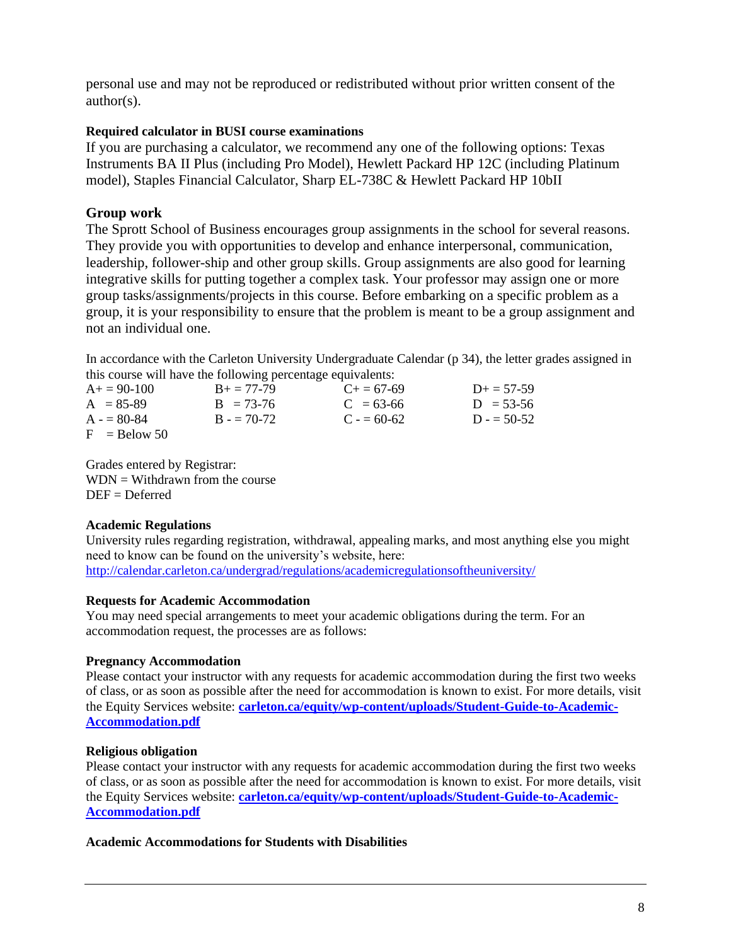personal use and may not be reproduced or redistributed without prior written consent of the author(s).

## **Required calculator in BUSI course examinations**

If you are purchasing a calculator, we recommend any one of the following options: Texas Instruments BA II Plus (including Pro Model), Hewlett Packard HP 12C (including Platinum model), Staples Financial Calculator, Sharp EL-738C & Hewlett Packard HP 10bII

# **Group work**

The Sprott School of Business encourages group assignments in the school for several reasons. They provide you with opportunities to develop and enhance interpersonal, communication, leadership, follower-ship and other group skills. Group assignments are also good for learning integrative skills for putting together a complex task. Your professor may assign one or more group tasks/assignments/projects in this course. Before embarking on a specific problem as a group, it is your responsibility to ensure that the problem is meant to be a group assignment and not an individual one.

In accordance with the Carleton University Undergraduate Calendar (p 34), the letter grades assigned in this course will have the following percentage equivalents:

| $A+=90-100$    | $B_+ = 77-79$ | $C_{\pm} = 67 - 69$ | $D_{\pm} = 57 - 59$ |
|----------------|---------------|---------------------|---------------------|
| $A = 85-89$    | $B = 73-76$   | $C = 63-66$         | $D = 53-56$         |
| $A = 80-84$    | $B = 70-72$   | $C = 60-62$         | $D = 50-52$         |
| $F =$ Relow 50 |               |                     |                     |

Grades entered by Registrar:  $WDN = Without$  when the course  $DEF = Deferred$ 

## **Academic Regulations**

University rules regarding registration, withdrawal, appealing marks, and most anything else you might need to know can be found on the university's website, here: <http://calendar.carleton.ca/undergrad/regulations/academicregulationsoftheuniversity/>

## **Requests for Academic Accommodation**

You may need special arrangements to meet your academic obligations during the term. For an accommodation request, the processes are as follows:

# **Pregnancy Accommodation**

Please contact your instructor with any requests for academic accommodation during the first two weeks of class, or as soon as possible after the need for accommodation is known to exist. For more details, visit the Equity Services website: **[carleton.ca/equity/wp-content/uploads/Student-Guide-to-Academic-](http://carleton.ca/equity/wp-content/uploads/Student-Guide-to-Academic-Accommodation.pdf)[Accommodation.pdf](http://carleton.ca/equity/wp-content/uploads/Student-Guide-to-Academic-Accommodation.pdf)**

## **Religious obligation**

Please contact your instructor with any requests for academic accommodation during the first two weeks of class, or as soon as possible after the need for accommodation is known to exist. For more details, visit the Equity Services website: **[carleton.ca/equity/wp-content/uploads/Student-Guide-to-Academic-](http://carleton.ca/equity/wp-content/uploads/Student-Guide-to-Academic-Accommodation.pdf)[Accommodation.pdf](http://carleton.ca/equity/wp-content/uploads/Student-Guide-to-Academic-Accommodation.pdf)**

## **Academic Accommodations for Students with Disabilities**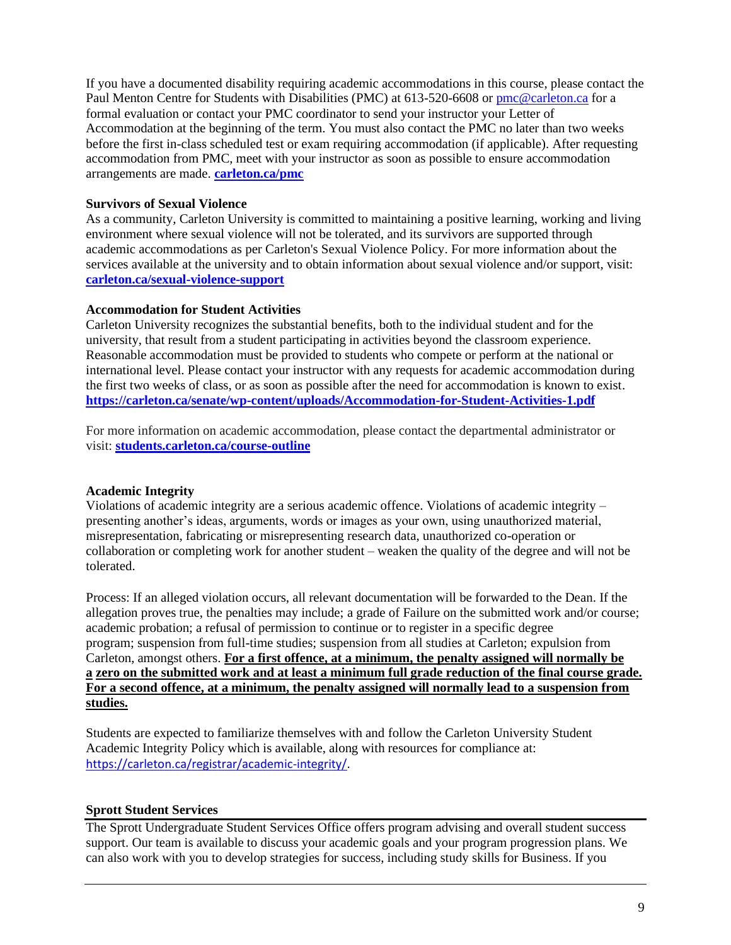If you have a documented disability requiring academic accommodations in this course, please contact the Paul Menton Centre for Students with Disabilities (PMC) at 613-520-6608 o[r pmc@carleton.ca](mailto:pmc@carleton.ca) for a formal evaluation or contact your PMC coordinator to send your instructor your Letter of Accommodation at the beginning of the term. You must also contact the PMC no later than two weeks before the first in-class scheduled test or exam requiring accommodation (if applicable). After requesting accommodation from PMC, meet with your instructor as soon as possible to ensure accommodation arrangements are made. **[carleton.ca/pmc](http://carleton.ca/pmc)**

## **Survivors of Sexual Violence**

As a community, Carleton University is committed to maintaining a positive learning, working and living environment where sexual violence will not be tolerated, and its survivors are supported through academic accommodations as per Carleton's Sexual Violence Policy. For more information about the services available at the university and to obtain information about sexual violence and/or support, visit: **[carleton.ca/sexual-violence-support](http://carleton.ca/sexual-violence-support)**

## **Accommodation for Student Activities**

Carleton University recognizes the substantial benefits, both to the individual student and for the university, that result from a student participating in activities beyond the classroom experience. Reasonable accommodation must be provided to students who compete or perform at the national or international level. Please contact your instructor with any requests for academic accommodation during the first two weeks of class, or as soon as possible after the need for accommodation is known to exist. **<https://carleton.ca/senate/wp-content/uploads/Accommodation-for-Student-Activities-1.pdf>**

For more information on academic accommodation, please contact the departmental administrator or visit: **[students.carleton.ca/course-outline](http://students.carleton.ca/course-outline)**

## **Academic Integrity**

Violations of academic integrity are a serious academic offence. Violations of academic integrity – presenting another's ideas, arguments, words or images as your own, using unauthorized material, misrepresentation, fabricating or misrepresenting research data, unauthorized co-operation or collaboration or completing work for another student – weaken the quality of the degree and will not be tolerated.

Process: If an alleged violation occurs, all relevant documentation will be forwarded to the Dean. If the allegation proves true, the penalties may include; a grade of Failure on the submitted work and/or course; academic probation; a refusal of permission to continue or to register in a specific degree program; suspension from full-time studies; suspension from all studies at Carleton; expulsion from Carleton, amongst others. **For a first offence, at a minimum, the penalty assigned will normally be a zero on the submitted work and at least a minimum full grade reduction of the final course grade. For a second offence, at a minimum, the penalty assigned will normally lead to a suspension from studies.**

Students are expected to familiarize themselves with and follow the Carleton University Student Academic Integrity Policy which is available, along with resources for compliance at: [https://carleton.ca/registrar/academic-integrity/.](https://carleton.ca/registrar/academic-integrity/)

## **Sprott Student Services**

The Sprott Undergraduate Student Services Office offers program advising and overall student success support. Our team is available to discuss your academic goals and your program progression plans. We can also work with you to develop strategies for success, including study skills for Business. If you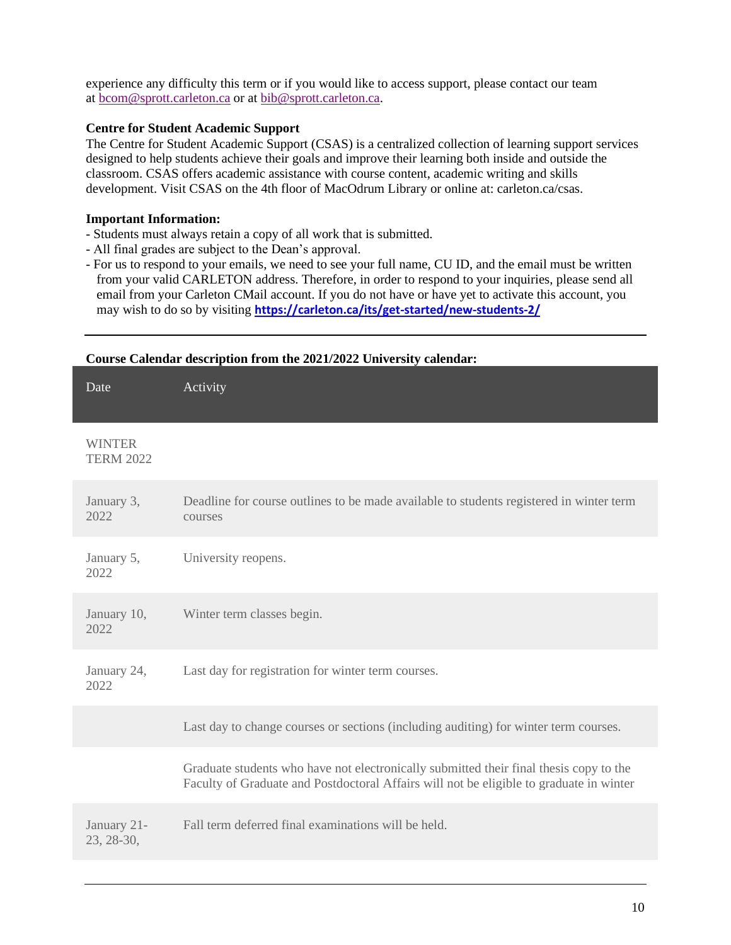experience any difficulty this term or if you would like to access support, please contact our team at [bcom@sprott.carleton.ca](mailto:bcom@sprott.carleton.ca) or at [bib@sprott.carleton.ca.](mailto:bib@sprott.carleton.ca)

## **Centre for Student Academic Support**

The Centre for Student Academic Support (CSAS) is a centralized collection of learning support services designed to help students achieve their goals and improve their learning both inside and outside the classroom. CSAS offers academic assistance with course content, academic writing and skills development. Visit CSAS on the 4th floor of MacOdrum Library or online at: carleton.ca/csas.

## **Important Information:**

- Students must always retain a copy of all work that is submitted.
- All final grades are subject to the Dean's approval.
- For us to respond to your emails, we need to see your full name, CU ID, and the email must be written from your valid CARLETON address. Therefore, in order to respond to your inquiries, please send all email from your Carleton CMail account. If you do not have or have yet to activate this account, you may wish to do so by visiting **<https://carleton.ca/its/get-started/new-students-2/>**

| Course Calendar description from the 2021/2022 University calendar: |                                                                                                                                                                                   |  |
|---------------------------------------------------------------------|-----------------------------------------------------------------------------------------------------------------------------------------------------------------------------------|--|
| Date                                                                | Activity                                                                                                                                                                          |  |
| <b>WINTER</b><br><b>TERM 2022</b>                                   |                                                                                                                                                                                   |  |
| January 3,<br>2022                                                  | Deadline for course outlines to be made available to students registered in winter term<br>courses                                                                                |  |
| January 5,<br>2022                                                  | University reopens.                                                                                                                                                               |  |
| January 10,<br>2022                                                 | Winter term classes begin.                                                                                                                                                        |  |
| January 24,<br>2022                                                 | Last day for registration for winter term courses.                                                                                                                                |  |
|                                                                     | Last day to change courses or sections (including auditing) for winter term courses.                                                                                              |  |
|                                                                     | Graduate students who have not electronically submitted their final thesis copy to the<br>Faculty of Graduate and Postdoctoral Affairs will not be eligible to graduate in winter |  |
| January 21-<br>23, 28-30,                                           | Fall term deferred final examinations will be held.                                                                                                                               |  |

## 10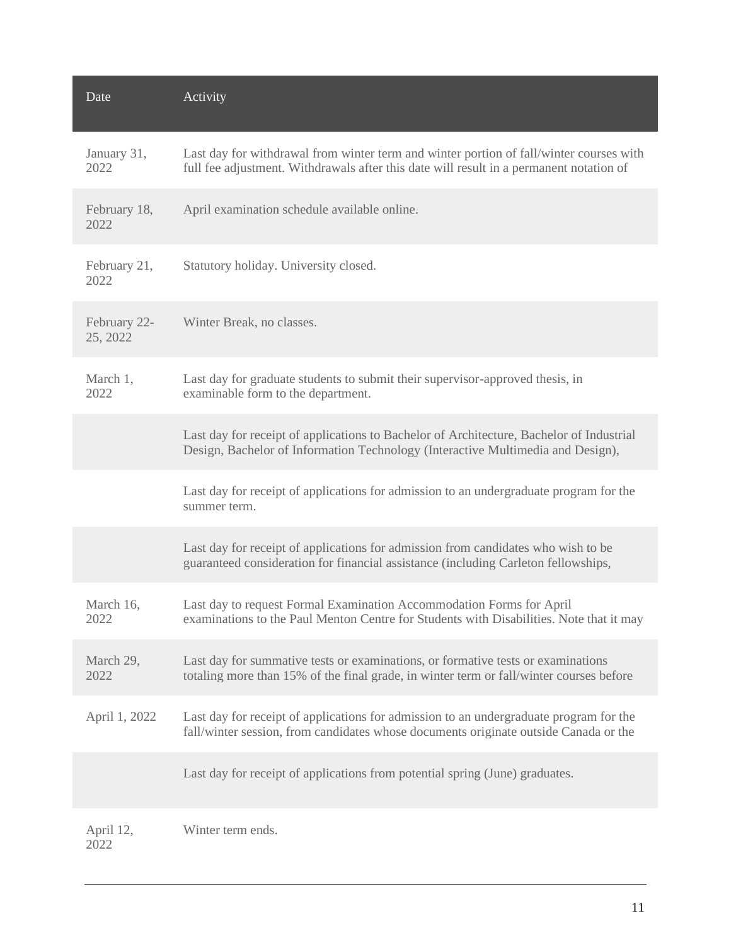| Date                     | Activity                                                                                                                                                                           |
|--------------------------|------------------------------------------------------------------------------------------------------------------------------------------------------------------------------------|
| January 31,<br>2022      | Last day for withdrawal from winter term and winter portion of fall/winter courses with<br>full fee adjustment. Withdrawals after this date will result in a permanent notation of |
| February 18,<br>2022     | April examination schedule available online.                                                                                                                                       |
| February 21,<br>2022     | Statutory holiday. University closed.                                                                                                                                              |
| February 22-<br>25, 2022 | Winter Break, no classes.                                                                                                                                                          |
| March 1,<br>2022         | Last day for graduate students to submit their supervisor-approved thesis, in<br>examinable form to the department.                                                                |
|                          | Last day for receipt of applications to Bachelor of Architecture, Bachelor of Industrial<br>Design, Bachelor of Information Technology (Interactive Multimedia and Design),        |
|                          | Last day for receipt of applications for admission to an undergraduate program for the<br>summer term.                                                                             |
|                          | Last day for receipt of applications for admission from candidates who wish to be<br>guaranteed consideration for financial assistance (including Carleton fellowships,            |
| March 16,<br>2022        | Last day to request Formal Examination Accommodation Forms for April<br>examinations to the Paul Menton Centre for Students with Disabilities. Note that it may                    |
| March 29,<br>2022        | Last day for summative tests or examinations, or formative tests or examinations<br>totaling more than 15% of the final grade, in winter term or fall/winter courses before        |
| April 1, 2022            | Last day for receipt of applications for admission to an undergraduate program for the<br>fall/winter session, from candidates whose documents originate outside Canada or the     |
|                          | Last day for receipt of applications from potential spring (June) graduates.                                                                                                       |
| April 12,<br>2022        | Winter term ends.                                                                                                                                                                  |